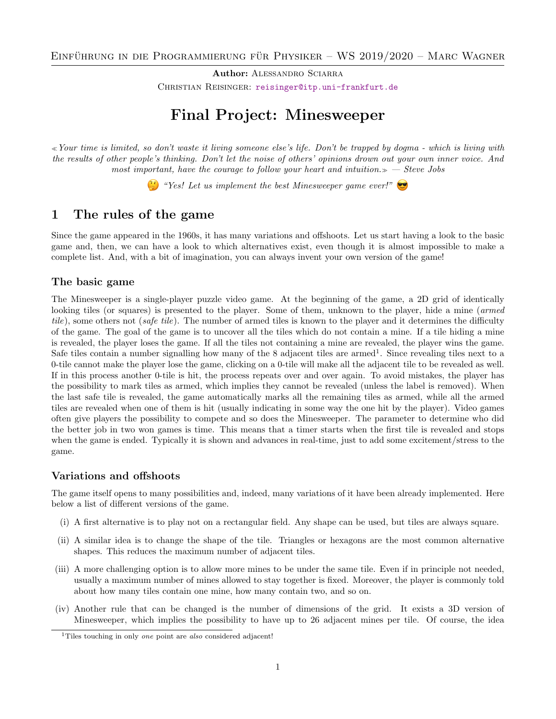**Author: ALESSANDRO SCIARRA** CHRISTIAN REISINGER: [reisinger@itp.uni-frankfurt.de](mailto:reisinger@itp.uni-frankfurt.de)

# Final Project: Minesweeper

Your time is limited, so don't waste it living someone else's life. Don't be trapped by dogma - which is living with the results of other people's thinking. Don't let the noise of others' opinions drown out your own inner voice. And most important, have the courage to follow your heart and intuition. $\gg$  - Steve Jobs



 $\mathbb{G}$  "Yes! Let us implement the best Minesweeper game ever!"

## <span id="page-0-1"></span>1 The rules of the game

Since the game appeared in the 1960s, it has many variations and offshoots. Let us start having a look to the basic game and, then, we can have a look to which alternatives exist, even though it is almost impossible to make a complete list. And, with a bit of imagination, you can always invent your own version of the game!

#### The basic game

The Minesweeper is a single-player puzzle video game. At the beginning of the game, a 2D grid of identically looking tiles (or squares) is presented to the player. Some of them, unknown to the player, hide a mine (*armed* tile), some others not (safe tile). The number of armed tiles is known to the player and it determines the difficulty of the game. The goal of the game is to uncover all the tiles which do not contain a mine. If a tile hiding a mine is revealed, the player loses the game. If all the tiles not containing a mine are revealed, the player wins the game. Safe tiles contain a number signalling how many of the 8 adjacent tiles are armed<sup>[1](#page-0-0)</sup>. Since revealing tiles next to a 0-tile cannot make the player lose the game, clicking on a 0-tile will make all the adjacent tile to be revealed as well. If in this process another 0-tile is hit, the process repeats over and over again. To avoid mistakes, the player has the possibility to mark tiles as armed, which implies they cannot be revealed (unless the label is removed). When the last safe tile is revealed, the game automatically marks all the remaining tiles as armed, while all the armed tiles are revealed when one of them is hit (usually indicating in some way the one hit by the player). Video games often give players the possibility to compete and so does the Minesweeper. The parameter to determine who did the better job in two won games is time. This means that a timer starts when the first tile is revealed and stops when the game is ended. Typically it is shown and advances in real-time, just to add some excitement/stress to the game.

#### Variations and offshoots

The game itself opens to many possibilities and, indeed, many variations of it have been already implemented. Here below a list of different versions of the game.

- (i) A first alternative is to play not on a rectangular field. Any shape can be used, but tiles are always square.
- (ii) A similar idea is to change the shape of the tile. Triangles or hexagons are the most common alternative shapes. This reduces the maximum number of adjacent tiles.
- (iii) A more challenging option is to allow more mines to be under the same tile. Even if in principle not needed, usually a maximum number of mines allowed to stay together is fixed. Moreover, the player is commonly told about how many tiles contain one mine, how many contain two, and so on.
- (iv) Another rule that can be changed is the number of dimensions of the grid. It exists a 3D version of Minesweeper, which implies the possibility to have up to 26 adjacent mines per tile. Of course, the idea

<span id="page-0-0"></span><sup>&</sup>lt;sup>1</sup>Tiles touching in only *one* point are *also* considered adjacent!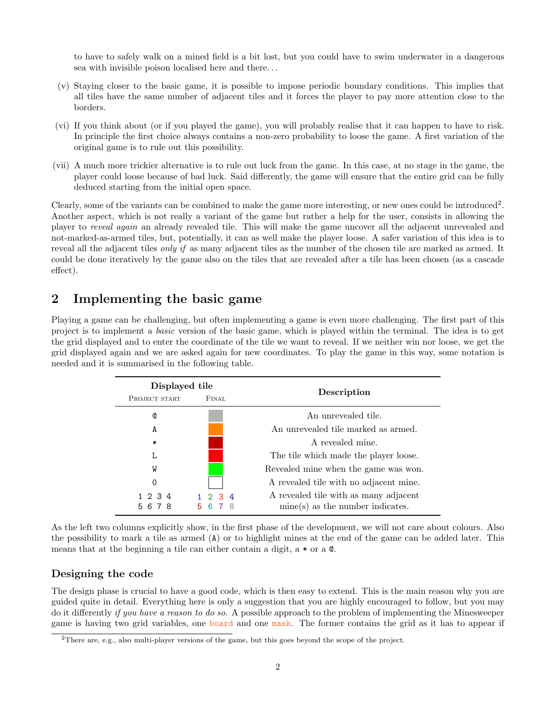to have to safely walk on a mined field is a bit lost, but you could have to swim underwater in a dangerous sea with invisible poison localised here and there. . .

- (v) Staying closer to the basic game, it is possible to impose periodic boundary conditions. This implies that all tiles have the same number of adjacent tiles and it forces the player to pay more attention close to the borders.
- <span id="page-1-2"></span>(vi) If you think about (or if you played the game), you will probably realise that it can happen to have to risk. In principle the first choice always contains a non-zero probability to loose the game. A first variation of the original game is to rule out this possibility.
- (vii) A much more trickier alternative is to rule out luck from the game. In this case, at no stage in the game, the player could loose because of bad luck. Said differently, the game will ensure that the entire grid can be fully deduced starting from the initial open space.

Clearly, some of the variants can be combined to make the game more interesting, or new ones could be introduced<sup>[2](#page-1-0)</sup>. Another aspect, which is not really a variant of the game but rather a help for the user, consists in allowing the player to reveal again an already revealed tile. This will make the game uncover all the adjacent unrevealed and not-marked-as-armed tiles, but, potentially, it can as well make the player loose. A safer variation of this idea is to reveal all the adjacent tiles *only if* as many adjacent tiles as the number of the chosen tile are marked as armed. It could be done iteratively by the game also on the tiles that are revealed after a tile has been chosen (as a cascade effect).

# <span id="page-1-1"></span>2 Implementing the basic game

Playing a game can be challenging, but often implementing a game is even more challenging. The first part of this project is to implement a basic version of the basic game, which is played within the terminal. The idea is to get the grid displayed and to enter the coordinate of the tile we want to reveal. If we neither win nor loose, we get the grid displayed again and we are asked again for new coordinates. To play the game in this way, some notation is needed and it is summarised in the following table.

| Displayed tile<br>PROJECT START | FINAL                            | Description                                                                 |
|---------------------------------|----------------------------------|-----------------------------------------------------------------------------|
| Q                               |                                  | An unrevealed tile.                                                         |
| A                               |                                  | An unrevealed tile marked as armed.                                         |
| $\ast$                          |                                  | A revealed mine.                                                            |
| L                               |                                  | The tile which made the player loose.                                       |
| W                               |                                  | Revealed mine when the game was won.                                        |
| 0                               |                                  | A revealed tile with no adjacent mine.                                      |
| 1 2 3 4<br>5678                 | $1 \t2 \t3 \t4$<br>Б.<br>6<br>-8 | A revealed tile with as many adjacent<br>$mine(s)$ as the number indicates. |

As the left two columns explicitly show, in the first phase of the development, we will not care about colours. Also the possibility to mark a tile as armed (A) or to highlight mines at the end of the game can be added later. This means that at the beginning a tile can either contain a digit, a \* or a @.

### Designing the code

The design phase is crucial to have a good code, which is then easy to extend. This is the main reason why you are guided quite in detail. Everything here is only a suggestion that you are highly encouraged to follow, but you may do it differently if you have a reason to do so. A possible approach to the problem of implementing the Minesweeper game is having two grid variables, one board and one mask. The former contains the grid as it has to appear if

<span id="page-1-0"></span><sup>2</sup>There are, e.g., also multi-player versions of the game, but this goes beyond the scope of the project.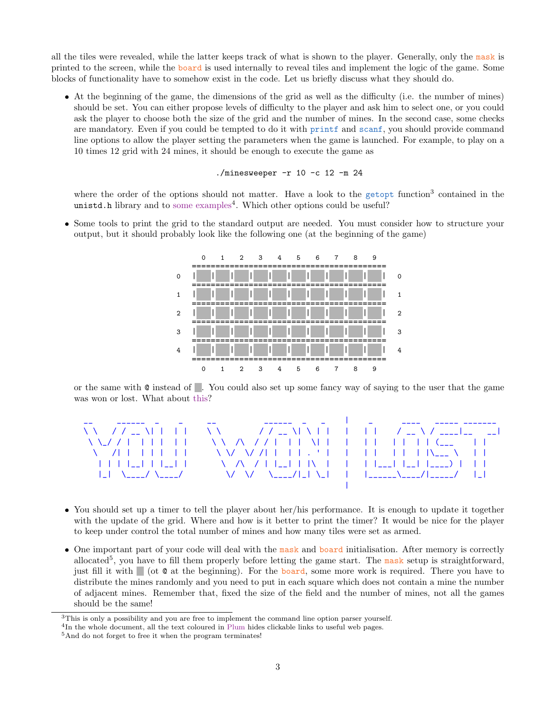all the tiles were revealed, while the latter keeps track of what is shown to the player. Generally, only the mask is printed to the screen, while the board is used internally to reveal tiles and implement the logic of the game. Some blocks of functionality have to somehow exist in the code. Let us briefly discuss what they should do.

 At the beginning of the game, the dimensions of the grid as well as the difficulty (i.e. the number of mines) should be set. You can either propose levels of difficulty to the player and ask him to select one, or you could ask the player to choose both the size of the grid and the number of mines. In the second case, some checks are mandatory. Even if you could be tempted to do it with printf and scanf, you should provide command line options to allow the player setting the parameters when the game is launched. For example, to play on a 10 times 12 grid with 24 mines, it should be enough to execute the game as

./minesweeper -r 10 -c 12 -m 24

where the order of the options should not matter. Have a look to the get opt function<sup>[3](#page-2-0)</sup> contained in the unistd.h library and to [some examples](https://www.gnu.org/software/libc/manual/html_node/Getopt.html#Getopt)<sup>[4](#page-2-1)</sup>. Which other options could be useful?

 Some tools to print the grid to the standard output are needed. You must consider how to structure your output, but it should probably look like the following one (at the beginning of the game)



or the same with @ instead of . You could also set up some fancy way of saying to the user that the game was won or lost. What about [this?](http://patorjk.com/software/taag/#p=display&f=Graffiti&t=Type)



- You should set up a timer to tell the player about her/his performance. It is enough to update it together with the update of the grid. Where and how is it better to print the timer? It would be nice for the player to keep under control the total number of mines and how many tiles were set as armed.
- One important part of your code will deal with the mask and board initialisation. After memory is correctly allocated<sup>[5](#page-2-2)</sup>, you have to fill them properly before letting the game start. The mask setup is straightforward, just fill it with (ot  $\&$  at the beginning). For the board, some more work is required. There you have to distribute the mines randomly and you need to put in each square which does not contain a mine the number of adjacent mines. Remember that, fixed the size of the field and the number of mines, not all the games should be the same!

<span id="page-2-0"></span><sup>3</sup>This is only a possibility and you are free to implement the command line option parser yourself.

<span id="page-2-1"></span><sup>4</sup> In the whole document, all the text coloured in Plum hides clickable links to useful web pages.

<span id="page-2-2"></span><sup>5</sup>And do not forget to free it when the program terminates!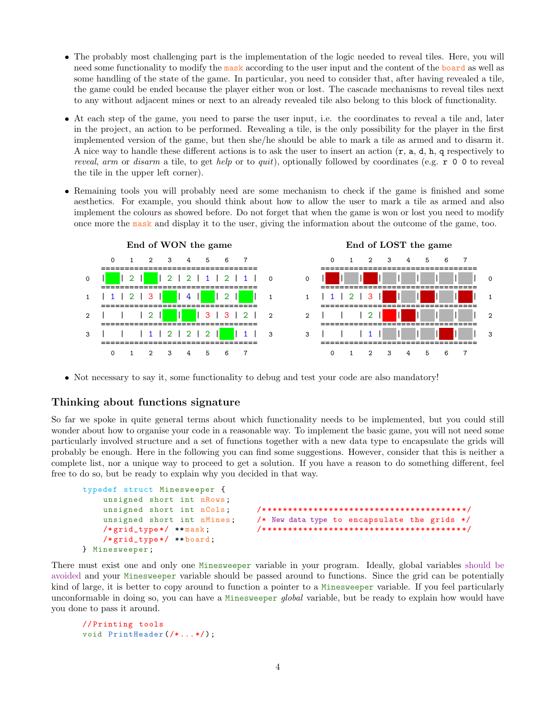- The probably most challenging part is the implementation of the logic needed to reveal tiles. Here, you will need some functionality to modify the mask according to the user input and the content of the board as well as some handling of the state of the game. In particular, you need to consider that, after having revealed a tile, the game could be ended because the player either won or lost. The cascade mechanisms to reveal tiles next to any without adjacent mines or next to an already revealed tile also belong to this block of functionality.
- At each step of the game, you need to parse the user input, i.e. the coordinates to reveal a tile and, later in the project, an action to be performed. Revealing a tile, is the only possibility for the player in the first implemented version of the game, but then she/he should be able to mark a tile as armed and to disarm it. A nice way to handle these different actions is to ask the user to insert an action  $(r, a, d, h, q$  respectively to reveal, arm or disarm a tile, to get help or to quit), optionally followed by coordinates (e.g.  $r \theta$  0 to reveal the tile in the upper left corner).
- Remaining tools you will probably need are some mechanism to check if the game is finished and some aesthetics. For example, you should think about how to allow the user to mark a tile as armed and also implement the colours as showed before. Do not forget that when the game is won or lost you need to modify once more the mask and display it to the user, giving the information about the outcome of the game, too.



Not necessary to say it, some functionality to debug and test your code are also mandatory!

#### Thinking about functions signature

So far we spoke in quite general terms about which functionality needs to be implemented, but you could still wonder about how to organise your code in a reasonable way. To implement the basic game, you will not need some particularly involved structure and a set of functions together with a new data type to encapsulate the grids will probably be enough. Here in the following you can find some suggestions. However, consider that this is neither a complete list, nor a unique way to proceed to get a solution. If you have a reason to do something different, feel free to do so, but be ready to explain why you decided in that way.

```
typedef struct Minesweeper {
    unsigned short int nRows ;
    unsigned short int nCols ; /* ************************************** */
    unsigned short int nMines; \quadNew data type to encapsulate the grids */
    /* grid_type */ ** mask ; /* ************************************** */
    /* grid_type */ ** board ;
} Minesweeper ;
```
There must exist one and only one Minesweeper variable in your program. Ideally, global variables [should be](https://stackoverflow.com/a/485020) [avoided](https://stackoverflow.com/a/485020) and your Minesweeper variable should be passed around to functions. Since the grid can be potentially kind of large, it is better to copy around to function a pointer to a Minesweeper variable. If you feel particularly unconformable in doing so, you can have a Minesweeper *global* variable, but be ready to explain how would have you done to pass it around.

```
// Printing tools
void PrintHeader (/*...*/);
```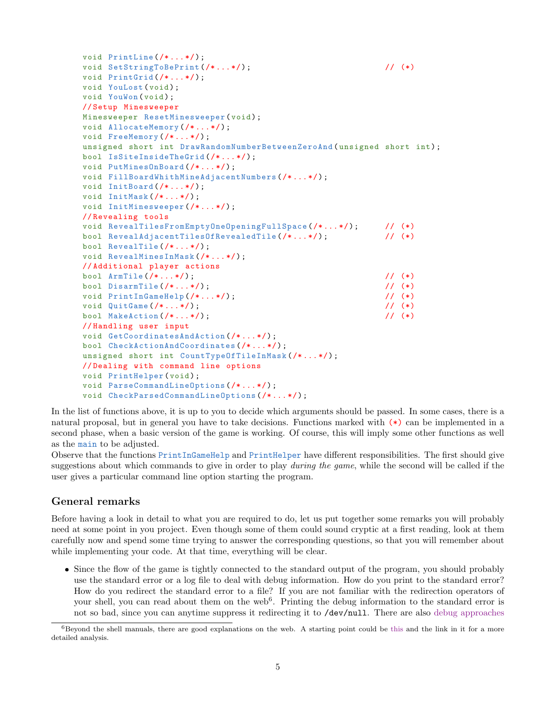```
void PrintLine (\nmid \cdot \ldots \cdot \mid \cdot);
void SetStringToBePrint (/*...*/); // (*)
void PrintGrid (\nmid \cdot \ldots \cdot \nmid);
void YouLost (void);
void YouWon (void);
// Setup Minesweeper
Minesweeper ResetMinesweeper (void);
void AllocateMemory (/* ... */) ;
void FreeMemory (\nmid \cdot \ldots \cdot \nmid);
unsigned short int DrawRandomNumberBetweenZeroAnd (unsigned short int);
bool IsSiteInsideTheGrid (/* ... */) ;
void PutMinesOnBoard (\nmid \cdot \dots \cdot \nmid);
void FillBoardWhithMineAdjacentNumbers (/* ... */) ;
void InitBoard (/ * ... * / );
void InitMask (\nmid \cdot, \ldots \cdot \cdot \nmid) ;
void InitMinesweeper (/* ... */) ;
// Revealing tools
void RevealTilesFromEmptyOneOpeningFullSpace (/* ... */) ; // (*)
bool RevealAdjacentTilesOfRevealedTile (/* ... */) ; // (*)
bool RevealTile (/* ... */) ;
void RevealMinesInMask (/* ... */) ;
// Additional player actions
bool \text{ArmTile} (\nmid \cdot, \ldots, \cdot \mid);
bool DisarmTile (/*...*/);<br>void PrintInGameHelp(/*...*/); // (*) // (*)
void PrintInGameHelp(/*...*/);<br>void QuitGame(/*...*/); // (*)
void QuitGame (\nmid \cdot \ldots \cdot \nmid) ;
bool MakeAction (/* ... */) ; // (*)
// Handling user input
void GetCoordinatesAndAction (/* ... */) ;
bool CheckActionAndCoordinates (/* ... */) ;
unsigned short int CountTypeOfTileInMask (/* ... */) ;
// Dealing with command line options
void PrintHelper (void);
void ParseCommandLineOptions (/* ... */) ;
void CheckParsedCommandLineOptions (/* ... */) ;
```
In the list of functions above, it is up to you to decide which arguments should be passed. In some cases, there is a natural proposal, but in general you have to take decisions. Functions marked with (\*) can be implemented in a second phase, when a basic version of the game is working. Of course, this will imply some other functions as well as the main to be adjusted.

Observe that the functions PrintInGameHelp and PrintHelper have different responsibilities. The first should give suggestions about which commands to give in order to play *during the game*, while the second will be called if the user gives a particular command line option starting the program.

#### General remarks

Before having a look in detail to what you are required to do, let us put together some remarks you will probably need at some point in you project. Even though some of them could sound cryptic at a first reading, look at them carefully now and spend some time trying to answer the corresponding questions, so that you will remember about while implementing your code. At that time, everything will be clear.

• Since the flow of the game is tightly connected to the standard output of the program, you should probably use the standard error or a log file to deal with debug information. How do you print to the standard error? How do you redirect the standard error to a file? If you are not familiar with the redirection operators of your shell, you can read about them on the web<sup>[6](#page-4-0)</sup>. Printing the debug information to the standard error is not so bad, since you can anytime suppress it redirecting it to /dev/null. There are also [debug approaches](https://stackoverflow.com/questions/1644868/c-define-macro-for-debug-printing)

<span id="page-4-0"></span><sup>6</sup>Beyond the shell manuals, there are good explanations on the web. A starting point could be [this](https://askubuntu.com/a/625230) and the link in it for a more detailed analysis.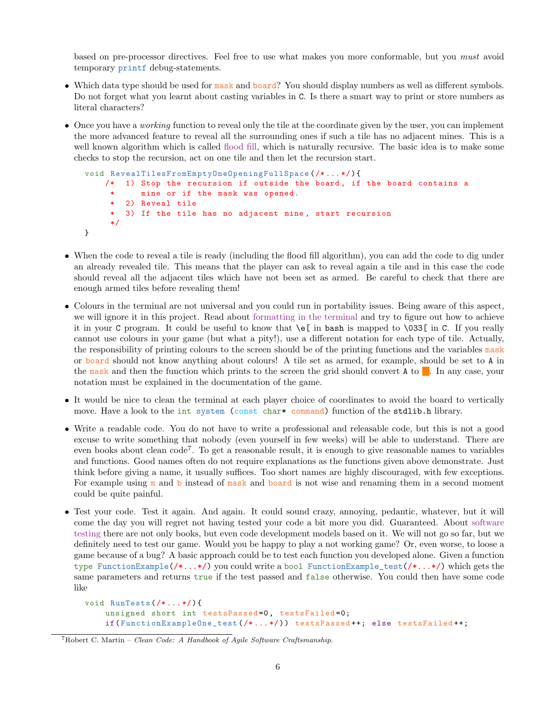based on pre-processor directives. Feel free to use what makes you more conformable, but you must avoid temporary printf debug-statements.

- Which data type should be used for mask and board? You should display numbers as well as different symbols. Do not forget what you learnt about casting variables in C. Is there a smart way to print or store numbers as literal characters?
- Once you have a working function to reveal only the tile at the coordinate given by the user, you can implement the more advanced feature to reveal all the surrounding ones if such a tile has no adjacent mines. This is a well known algorithm which is called [flood fill,](https://en.wikipedia.org/wiki/Flood_fill) which is naturally recursive. The basic idea is to make some checks to stop the recursion, act on one tile and then let the recursion start.

```
void RevealTilesFromEmptyOneOpeningFullSpace (/* ... */) {
    /* 1) Stop the recursion if outside the board , if the board contains a
     * mine or if the mask was opened .
     * 2) Reveal tile
     * 3) If the tile has no adjacent mine , start recursion
     */
}
```
- When the code to reveal a tile is ready (including the flood fill algorithm), you can add the code to dig under an already revealed tile. This means that the player can ask to reveal again a tile and in this case the code should reveal all the adjacent tiles which have not been set as armed. Be careful to check that there are enough armed tiles before revealing them!
- Colours in the terminal are not universal and you could run in portability issues. Being aware of this aspect, we will ignore it in this project. Read about [formatting in the terminal](https://misc.flogisoft.com/bash/tip_colors_and_formatting) and try to figure out how to achieve it in your C program. It could be useful to know that  $\leq$  in bash is mapped to  $\setminus 033$  in C. If you really cannot use colours in your game (but what a pity!), use a different notation for each type of tile. Actually, the responsibility of printing colours to the screen should be of the printing functions and the variables mask or board should not know anything about colours! A tile set as armed, for example, should be set to A in the mask and then the function which prints to the screen the grid should convert  $A$  to  $\blacksquare$ . In any case, your notation must be explained in the documentation of the game.
- It would be nice to clean the terminal at each player choice of coordinates to avoid the board to vertically move. Have a look to the int system (const char\* command) function of the stdlib.h library.
- Write a readable code. You do not have to write a professional and releasable code, but this is not a good excuse to write something that nobody (even yourself in few weeks) will be able to understand. There are even books about clean code<sup>[7](#page-5-0)</sup>. To get a reasonable result, it is enough to give reasonable names to variables and functions. Good names often do not require explanations as the functions given above demonstrate. Just think before giving a name, it usually suffices. Too short names are highly discouraged, with few exceptions. For example using  $m$  and b instead of mask and board is not wise and renaming them in a second moment could be quite painful.
- Test your code. Test it again. And again. It could sound crazy, annoying, pedantic, whatever, but it will come the day you will regret not having tested your code a bit more you did. Guaranteed. About [software](https://en.wikipedia.org/wiki/Software_testing) [testing](https://en.wikipedia.org/wiki/Software_testing) there are not only books, but even code development models based on it. We will not go so far, but we definitely need to test our game. Would you be happy to play a not working game? Or, even worse, to loose a game because of a bug? A basic approach could be to test each function you developed alone. Given a function type FunctionExample(/\*...\*/) you could write a bool FunctionExample\_test(/\*...\*/) which gets the same parameters and returns true if the test passed and false otherwise. You could then have some code like

```
void RunTests (/* ... */) {
    unsigned short int testsPassed=0, testsFailed=0;
    if( FunctionExampleOne_test (/* ... */) ) testsPassed ++; else testsFailed ++;
```
<span id="page-5-0"></span> $7Robert C. Martin - Clean Code: A Handbook of Agile Software Craftsmanship.$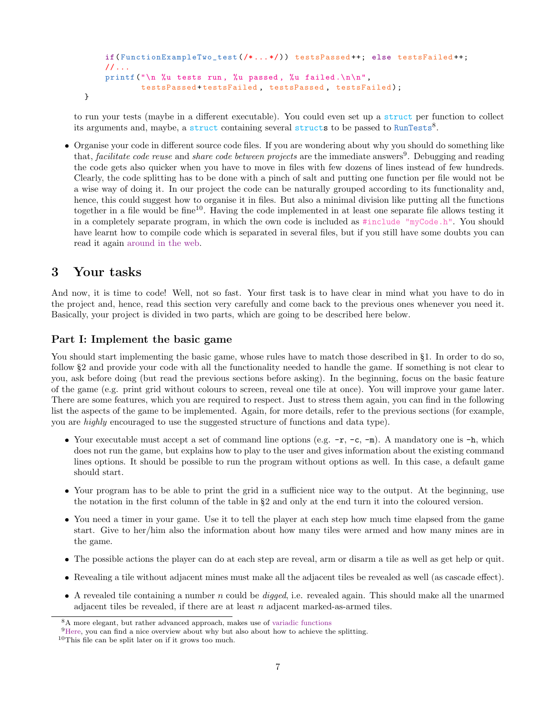```
if( FunctionExampleTwo_test (/* ... */) ) testsPassed ++; else testsFailed ++;
// ...
printf ("\n %u tests run, %u passed, %u failed.\n\n",
       testsPassed+testsFailed, testsPassed, testsFailed);
```
to run your tests (maybe in a different executable). You could even set up a struct per function to collect its arguments and, maybe, a struct containing several structs to be passed to RunTests<sup>[8](#page-6-0)</sup>.

 Organise your code in different source code files. If you are wondering about why you should do something like that, *facilitate code reuse* and *share code between projects* are the immediate answers<sup>[9](#page-6-1)</sup>. Debugging and reading the code gets also quicker when you have to move in files with few dozens of lines instead of few hundreds. Clearly, the code splitting has to be done with a pinch of salt and putting one function per file would not be a wise way of doing it. In our project the code can be naturally grouped according to its functionality and, hence, this could suggest how to organise it in files. But also a minimal division like putting all the functions together in a file would be fine<sup>[10](#page-6-2)</sup>. Having the code implemented in at least one separate file allows testing it in a completely separate program, in which the own code is included as #include "myCode.h". You should have learnt how to compile code which is separated in several files, but if you still have some doubts you can read it again [around in the web.](http://www.gribblelab.org/CBootCamp/12_Compiling_linking_Makefile_header_files.html)

### 3 Your tasks

}

And now, it is time to code! Well, not so fast. Your first task is to have clear in mind what you have to do in the project and, hence, read this section very carefully and come back to the previous ones whenever you need it. Basically, your project is divided in two parts, which are going to be described here below.

#### Part I: Implement the basic game

You should start implementing the basic game, whose rules have to match those described in §[1.](#page-0-1) In order to do so, follow §[2](#page-1-1) and provide your code with all the functionality needed to handle the game. If something is not clear to you, ask before doing (but read the previous sections before asking). In the beginning, focus on the basic feature of the game (e.g. print grid without colours to screen, reveal one tile at once). You will improve your game later. There are some features, which you are required to respect. Just to stress them again, you can find in the following list the aspects of the game to be implemented. Again, for more details, refer to the previous sections (for example, you are highly encouraged to use the suggested structure of functions and data type).

- Your executable must accept a set of command line options (e.g.  $-r$ ,  $-c$ ,  $-m$ ). A mandatory one is  $-h$ , which does not run the game, but explains how to play to the user and gives information about the existing command lines options. It should be possible to run the program without options as well. In this case, a default game should start.
- Your program has to be able to print the grid in a sufficient nice way to the output. At the beginning, use the notation in the first column of the table in §[2](#page-1-1) and only at the end turn it into the coloured version.
- You need a timer in your game. Use it to tell the player at each step how much time elapsed from the game start. Give to her/him also the information about how many tiles were armed and how many mines are in the game.
- The possible actions the player can do at each step are reveal, arm or disarm a tile as well as get help or quit.
- Revealing a tile without adjacent mines must make all the adjacent tiles be revealed as well (as cascade effect).
- $\bullet$  A revealed tile containing a number n could be *digged*, i.e. revealed again. This should make all the unarmed adjacent tiles be revealed, if there are at least  $n$  adjacent marked-as-armed tiles.

<span id="page-6-0"></span><sup>8</sup>A more elegant, but rather advanced approach, makes use of [variadic functions](http://en.cppreference.com/w/c/variadic)

<span id="page-6-1"></span><sup>&</sup>lt;sup>9</sup>[Here,](https://www.gamedev.net/articles/programming/general-and-gameplay-programming/organizing-code-files-in-c-and-c-r3173) you can find a nice overview about why but also about how to achieve the splitting.

<span id="page-6-2"></span><sup>10</sup>This file can be split later on if it grows too much.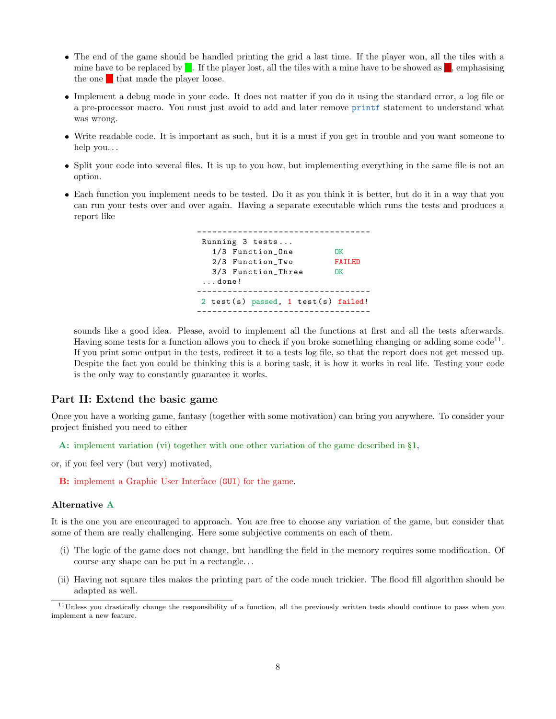- The end of the game should be handled printing the grid a last time. If the player won, all the tiles with a mine have to be replaced by  $\blacksquare$ . If the player lost, all the tiles with a mine have to be showed as  $\blacksquare$ , emphasising the one  $\blacksquare$  that made the player loose.
- Implement a debug mode in your code. It does not matter if you do it using the standard error, a log file or a pre-processor macro. You must just avoid to add and later remove printf statement to understand what was wrong.
- Write readable code. It is important as such, but it is a must if you get in trouble and you want someone to help you. . .
- Split your code into several files. It is up to you how, but implementing everything in the same file is not an option.
- Each function you implement needs to be tested. Do it as you think it is better, but do it in a way that you can run your tests over and over again. Having a separate executable which runs the tests and produces a report like

| Running 3 tests<br>1/3 Function_One<br>2/3 Function_Two<br>3/3 Function_Three<br>done! | ΠK<br><b>FATLED</b><br>nĸ. |
|----------------------------------------------------------------------------------------|----------------------------|
| 2 test(s) passed, 1 test(s) failed!                                                    |                            |
|                                                                                        |                            |

sounds like a good idea. Please, avoid to implement all the functions at first and all the tests afterwards. Having some tests for a function allows you to check if you broke something changing or adding some  $\text{code}^{11}$  $\text{code}^{11}$  $\text{code}^{11}$ . If you print some output in the tests, redirect it to a tests log file, so that the report does not get messed up. Despite the fact you could be thinking this is a boring task, it is how it works in real life. Testing your code is the only way to constantly guarantee it works.

#### Part II: Extend the basic game

Once you have a working game, fantasy (together with some motivation) can bring you anywhere. To consider your project finished you need to either

A: implement variation [\(vi\)](#page-1-2) together with one other variation of the game described in §[1,](#page-0-1)

or, if you feel very (but very) motivated,

B: implement a Graphic User Interface (GUI) for the game.

#### Alternative A

It is the one you are encouraged to approach. You are free to choose any variation of the game, but consider that some of them are really challenging. Here some subjective comments on each of them.

- (i) The logic of the game does not change, but handling the field in the memory requires some modification. Of course any shape can be put in a rectangle. . .
- (ii) Having not square tiles makes the printing part of the code much trickier. The flood fill algorithm should be adapted as well.

<span id="page-7-0"></span> $11$ Unless you drastically change the responsibility of a function, all the previously written tests should continue to pass when you implement a new feature.